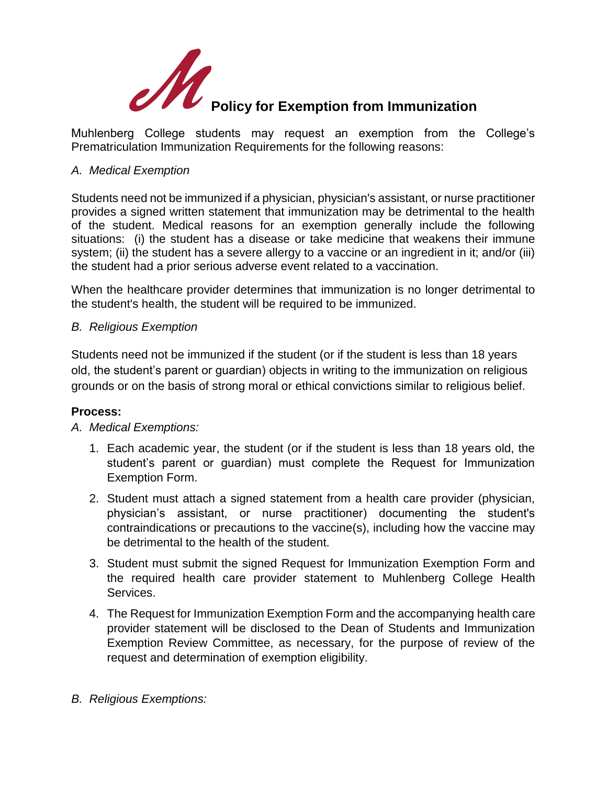

Muhlenberg College students may request an exemption from the College's Prematriculation Immunization Requirements for the following reasons:

## *A. Medical Exemption*

Students need not be immunized if a physician, physician's assistant, or nurse practitioner provides a signed written statement that immunization may be detrimental to the health of the student. Medical reasons for an exemption generally include the following situations: (i) the student has a disease or take medicine that weakens their immune system; (ii) the student has a severe allergy to a vaccine or an ingredient in it; and/or (iii) the student had a prior serious adverse event related to a vaccination.

When the healthcare provider determines that immunization is no longer detrimental to the student's health, the student will be required to be immunized.

## *B. Religious Exemption*

Students need not be immunized if the student (or if the student is less than 18 years old, the student's parent or guardian) objects in writing to the immunization on religious grounds or on the basis of strong moral or ethical convictions similar to religious belief.

## **Process:**

## *A. Medical Exemptions:*

- 1. Each academic year, the student (or if the student is less than 18 years old, the student's parent or guardian) must complete the Request for Immunization Exemption Form.
- 2. Student must attach a signed statement from a health care provider (physician, physician's assistant, or nurse practitioner) documenting the student's contraindications or precautions to the vaccine(s), including how the vaccine may be detrimental to the health of the student.
- 3. Student must submit the signed Request for Immunization Exemption Form and the required health care provider statement to Muhlenberg College Health Services.
- 4. The Request for Immunization Exemption Form and the accompanying health care provider statement will be disclosed to the Dean of Students and Immunization Exemption Review Committee, as necessary, for the purpose of review of the request and determination of exemption eligibility.
- *B. Religious Exemptions:*